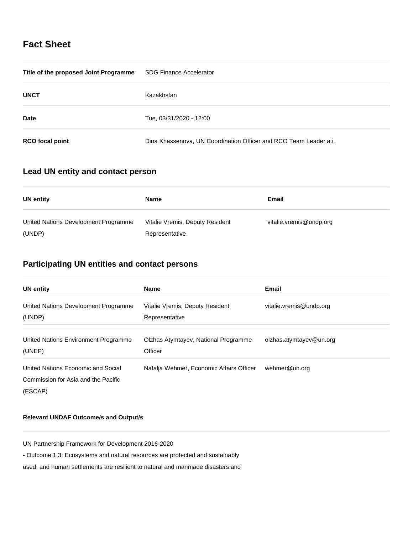## **Fact Sheet**

| Title of the proposed Joint Programme | <b>SDG Finance Accelerator</b>                                    |
|---------------------------------------|-------------------------------------------------------------------|
| <b>UNCT</b>                           | Kazakhstan                                                        |
| <b>Date</b>                           | Tue, 03/31/2020 - 12:00                                           |
| <b>RCO</b> focal point                | Dina Khassenova, UN Coordination Officer and RCO Team Leader a.i. |

## **Lead UN entity and contact person**

| UN entity                                      | Name                                              | Email                   |
|------------------------------------------------|---------------------------------------------------|-------------------------|
| United Nations Development Programme<br>(UNDP) | Vitalie Vremis, Deputy Resident<br>Representative | vitalie.vremis@undp.org |

# **Participating UN entities and contact persons**

| <b>UN entity</b>                     | <b>Name</b>                              | <b>Email</b>            |
|--------------------------------------|------------------------------------------|-------------------------|
| United Nations Development Programme | Vitalie Vremis, Deputy Resident          | vitalie.vremis@undp.org |
| (UNDP)                               | Representative                           |                         |
| United Nations Environment Programme | Olzhas Atymtayev, National Programme     | olzhas.atymtayev@un.org |
| (UNEP)                               | Officer                                  |                         |
| United Nations Economic and Social   | Natalja Wehmer, Economic Affairs Officer | wehmer@un.org           |
| Commission for Asia and the Pacific  |                                          |                         |
| (ESCAP)                              |                                          |                         |

### **Relevant UNDAF Outcome/s and Output/s**

UN Partnership Framework for Development 2016-2020

- Outcome 1.3: Ecosystems and natural resources are protected and sustainably

used, and human settlements are resilient to natural and manmade disasters and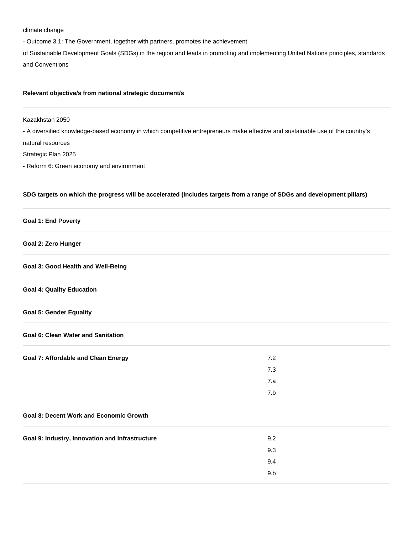#### climate change

- Outcome 3.1: The Government, together with partners, promotes the achievement

of Sustainable Development Goals (SDGs) in the region and leads in promoting and implementing United Nations principles, standards and Conventions

### **Relevant objective/s from national strategic document/s**

Kazakhstan 2050

- A diversified knowledge-based economy in which competitive entrepreneurs make effective and sustainable use of the country's

natural resources

Strategic Plan 2025

- Reform 6: Green economy and environment

#### **SDG targets on which the progress will be accelerated (includes targets from a range of SDGs and development pillars)**

#### **Goal 1: End Poverty**

#### **Goal 2: Zero Hunger**

**Goal 3: Good Health and Well-Being**

### **Goal 4: Quality Education**

### **Goal 5: Gender Equality**

#### **Goal 6: Clean Water and Sanitation**

| <b>Goal 7: Affordable and Clean Energy</b> | 7.2 |
|--------------------------------------------|-----|
|                                            | 7.3 |
|                                            | 7.a |
|                                            | 7.b |

### **Goal 8: Decent Work and Economic Growth**

| Goal 9: Industry, Innovation and Infrastructure | 9.2 |  |
|-------------------------------------------------|-----|--|
|                                                 | 9.3 |  |
|                                                 | 9.4 |  |
|                                                 | 9.b |  |
|                                                 |     |  |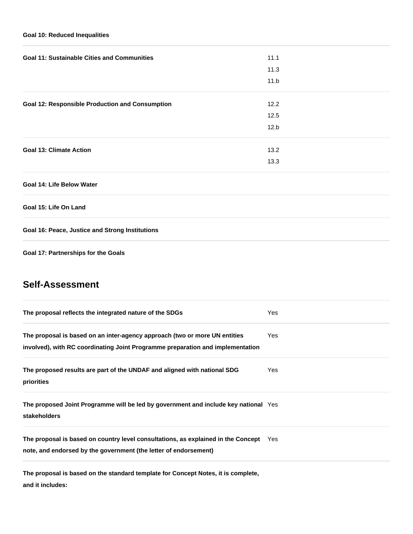### **Goal 10: Reduced Inequalities**

| 11.1 |  |
|------|--|
| 11.3 |  |
| 11.b |  |
| 12.2 |  |
| 12.5 |  |
| 12.b |  |
| 13.2 |  |
| 13.3 |  |
|      |  |
|      |  |

**Goal 15: Life On Land**

**Goal 16: Peace, Justice and Strong Institutions**

**Goal 17: Partnerships for the Goals**

## **Self-Assessment**

| The proposal reflects the integrated nature of the SDGs                                                                                                      | Yes  |
|--------------------------------------------------------------------------------------------------------------------------------------------------------------|------|
| The proposal is based on an inter-agency approach (two or more UN entities<br>involved), with RC coordinating Joint Programme preparation and implementation | Yes. |
| The proposed results are part of the UNDAF and aligned with national SDG<br>priorities                                                                       | Yes  |
| The proposed Joint Programme will be led by government and include key national Yes<br><b>stakeholders</b>                                                   |      |
| The proposal is based on country level consultations, as explained in the Concept<br>note, and endorsed by the government (the letter of endorsement)        | Yes  |

**The proposal is based on the standard template for Concept Notes, it is complete, and it includes:**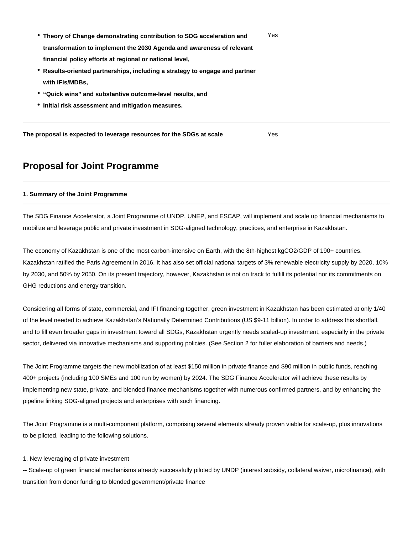- **Theory of Change demonstrating contribution to SDG acceleration and transformation to implement the 2030 Agenda and awareness of relevant financial policy efforts at regional or national level,** Yes
- **Results-oriented partnerships, including a strategy to engage and partner with IFIs/MDBs,**
- **"Quick wins" and substantive outcome-level results, and**
- **Initial risk assessment and mitigation measures.**

**The proposal is expected to leverage resources for the SDGs at scale** Yes

## **Proposal for Joint Programme**

#### **1. Summary of the Joint Programme**

The SDG Finance Accelerator, a Joint Programme of UNDP, UNEP, and ESCAP, will implement and scale up financial mechanisms to mobilize and leverage public and private investment in SDG-aligned technology, practices, and enterprise in Kazakhstan.

The economy of Kazakhstan is one of the most carbon-intensive on Earth, with the 8th-highest kgCO2/GDP of 190+ countries. Kazakhstan ratified the Paris Agreement in 2016. It has also set official national targets of 3% renewable electricity supply by 2020, 10% by 2030, and 50% by 2050. On its present trajectory, however, Kazakhstan is not on track to fulfill its potential nor its commitments on GHG reductions and energy transition.

Considering all forms of state, commercial, and IFI financing together, green investment in Kazakhstan has been estimated at only 1/40 of the level needed to achieve Kazakhstan's Nationally Determined Contributions (US \$9-11 billion). In order to address this shortfall, and to fill even broader gaps in investment toward all SDGs, Kazakhstan urgently needs scaled-up investment, especially in the private sector, delivered via innovative mechanisms and supporting policies. (See Section 2 for fuller elaboration of barriers and needs.)

The Joint Programme targets the new mobilization of at least \$150 million in private finance and \$90 million in public funds, reaching 400+ projects (including 100 SMEs and 100 run by women) by 2024. The SDG Finance Accelerator will achieve these results by implementing new state, private, and blended finance mechanisms together with numerous confirmed partners, and by enhancing the pipeline linking SDG-aligned projects and enterprises with such financing.

The Joint Programme is a multi-component platform, comprising several elements already proven viable for scale-up, plus innovations to be piloted, leading to the following solutions.

1. New leveraging of private investment

-- Scale-up of green financial mechanisms already successfully piloted by UNDP (interest subsidy, collateral waiver, microfinance), with transition from donor funding to blended government/private finance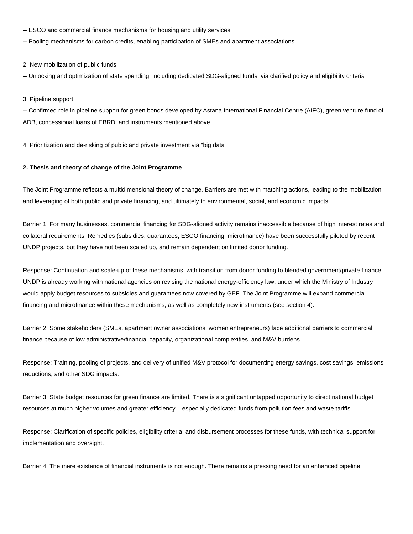- -- ESCO and commercial finance mechanisms for housing and utility services
- -- Pooling mechanisms for carbon credits, enabling participation of SMEs and apartment associations

#### 2. New mobilization of public funds

-- Unlocking and optimization of state spending, including dedicated SDG-aligned funds, via clarified policy and eligibility criteria

#### 3. Pipeline support

-- Confirmed role in pipeline support for green bonds developed by Astana International Financial Centre (AIFC), green venture fund of ADB, concessional loans of EBRD, and instruments mentioned above

4. Prioritization and de-risking of public and private investment via "big data"

#### **2. Thesis and theory of change of the Joint Programme**

The Joint Programme reflects a multidimensional theory of change. Barriers are met with matching actions, leading to the mobilization and leveraging of both public and private financing, and ultimately to environmental, social, and economic impacts.

Barrier 1: For many businesses, commercial financing for SDG-aligned activity remains inaccessible because of high interest rates and collateral requirements. Remedies (subsidies, guarantees, ESCO financing, microfinance) have been successfully piloted by recent UNDP projects, but they have not been scaled up, and remain dependent on limited donor funding.

Response: Continuation and scale-up of these mechanisms, with transition from donor funding to blended government/private finance. UNDP is already working with national agencies on revising the national energy-efficiency law, under which the Ministry of Industry would apply budget resources to subsidies and guarantees now covered by GEF. The Joint Programme will expand commercial financing and microfinance within these mechanisms, as well as completely new instruments (see section 4).

Barrier 2: Some stakeholders (SMEs, apartment owner associations, women entrepreneurs) face additional barriers to commercial finance because of low administrative/financial capacity, organizational complexities, and M&V burdens.

Response: Training, pooling of projects, and delivery of unified M&V protocol for documenting energy savings, cost savings, emissions reductions, and other SDG impacts.

Barrier 3: State budget resources for green finance are limited. There is a significant untapped opportunity to direct national budget resources at much higher volumes and greater efficiency – especially dedicated funds from pollution fees and waste tariffs.

Response: Clarification of specific policies, eligibility criteria, and disbursement processes for these funds, with technical support for implementation and oversight.

Barrier 4: The mere existence of financial instruments is not enough. There remains a pressing need for an enhanced pipeline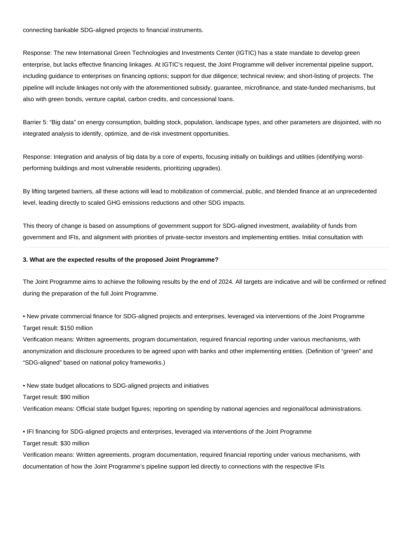connecting bankable SDG-aligned projects to financial instruments.

Response: The new International Green Technologies and Investments Center (IGTIC) has a state mandate to develop green enterprise, but lacks effective financing linkages. At IGTIC's request, the Joint Programme will deliver incremental pipeline support, including guidance to enterprises on financing options; support for due diligence; technical review; and short-listing of projects. The pipeline will include linkages not only with the aforementioned subsidy, guarantee, microfinance, and state-funded mechanisms, but also with green bonds, venture capital, carbon credits, and concessional loans.

Barrier 5: "Big data" on energy consumption, building stock, population, landscape types, and other parameters are disjointed, with no integrated analysis to identify, optimize, and de-risk investment opportunities.

Response: Integration and analysis of big data by a core of experts, focusing initially on buildings and utilities (identifying worstperforming buildings and most vulnerable residents, prioritizing upgrades).

By lifting targeted barriers, all these actions will lead to mobilization of commercial, public, and blended finance at an unprecedented level, leading directly to scaled GHG emissions reductions and other SDG impacts.

This theory of change is based on assumptions of government support for SDG-aligned investment, availability of funds from government and IFIs, and alignment with priorities of private-sector investors and implementing entities. Initial consultation with

#### **3. What are the expected results of the proposed Joint Programme?**

The Joint Programme aims to achieve the following results by the end of 2024. All targets are indicative and will be confirmed or refined during the preparation of the full Joint Programme.

• New private commercial finance for SDG-aligned projects and enterprises, leveraged via interventions of the Joint Programme Target result: \$150 million

Verification means: Written agreements, program documentation, required financial reporting under various mechanisms, with anonymization and disclosure procedures to be agreed upon with banks and other implementing entities. (Definition of "green" and "SDG-aligned" based on national policy frameworks.)

• New state budget allocations to SDG-aligned projects and initiatives

Target result: \$90 million

Verification means: Official state budget figures; reporting on spending by national agencies and regional/local administrations.

• IFI financing for SDG-aligned projects and enterprises, leveraged via interventions of the Joint Programme

Target result: \$30 million

Verification means: Written agreements, program documentation, required financial reporting under various mechanisms, with documentation of how the Joint Programme's pipeline support led directly to connections with the respective IFIs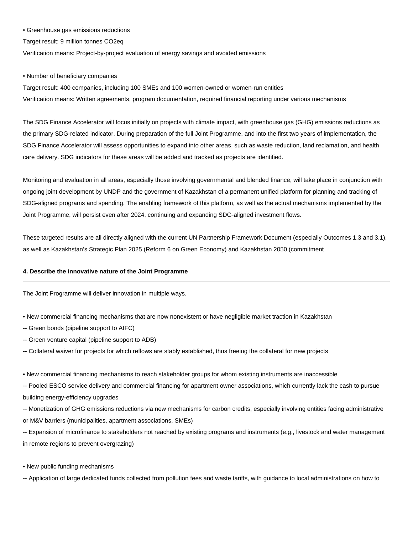#### • Greenhouse gas emissions reductions

Target result: 9 million tonnes CO2eq

Verification means: Project-by-project evaluation of energy savings and avoided emissions

• Number of beneficiary companies

Target result: 400 companies, including 100 SMEs and 100 women-owned or women-run entities Verification means: Written agreements, program documentation, required financial reporting under various mechanisms

The SDG Finance Accelerator will focus initially on projects with climate impact, with greenhouse gas (GHG) emissions reductions as the primary SDG-related indicator. During preparation of the full Joint Programme, and into the first two years of implementation, the SDG Finance Accelerator will assess opportunities to expand into other areas, such as waste reduction, land reclamation, and health care delivery. SDG indicators for these areas will be added and tracked as projects are identified.

Monitoring and evaluation in all areas, especially those involving governmental and blended finance, will take place in conjunction with ongoing joint development by UNDP and the government of Kazakhstan of a permanent unified platform for planning and tracking of SDG-aligned programs and spending. The enabling framework of this platform, as well as the actual mechanisms implemented by the Joint Programme, will persist even after 2024, continuing and expanding SDG-aligned investment flows.

These targeted results are all directly aligned with the current UN Partnership Framework Document (especially Outcomes 1.3 and 3.1), as well as Kazakhstan's Strategic Plan 2025 (Reform 6 on Green Economy) and Kazakhstan 2050 (commitment

#### **4. Describe the innovative nature of the Joint Programme**

The Joint Programme will deliver innovation in multiple ways.

- New commercial financing mechanisms that are now nonexistent or have negligible market traction in Kazakhstan
- -- Green bonds (pipeline support to AIFC)
- -- Green venture capital (pipeline support to ADB)
- -- Collateral waiver for projects for which reflows are stably established, thus freeing the collateral for new projects
- New commercial financing mechanisms to reach stakeholder groups for whom existing instruments are inaccessible

-- Pooled ESCO service delivery and commercial financing for apartment owner associations, which currently lack the cash to pursue building energy-efficiency upgrades

-- Monetization of GHG emissions reductions via new mechanisms for carbon credits, especially involving entities facing administrative or M&V barriers (municipalities, apartment associations, SMEs)

-- Expansion of microfinance to stakeholders not reached by existing programs and instruments (e.g., livestock and water management in remote regions to prevent overgrazing)

• New public funding mechanisms

-- Application of large dedicated funds collected from pollution fees and waste tariffs, with guidance to local administrations on how to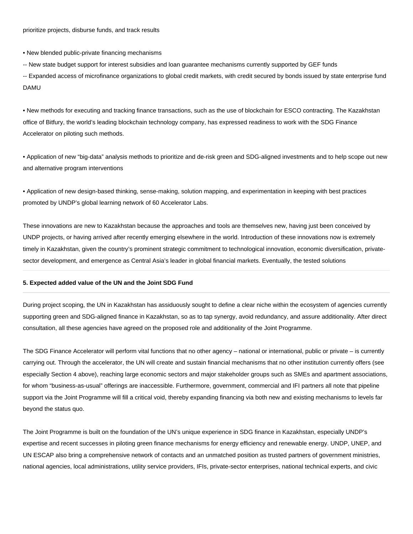• New blended public-private financing mechanisms

-- New state budget support for interest subsidies and loan guarantee mechanisms currently supported by GEF funds

-- Expanded access of microfinance organizations to global credit markets, with credit secured by bonds issued by state enterprise fund DAMU

• New methods for executing and tracking finance transactions, such as the use of blockchain for ESCO contracting. The Kazakhstan office of Bitfury, the world's leading blockchain technology company, has expressed readiness to work with the SDG Finance Accelerator on piloting such methods.

• Application of new "big-data" analysis methods to prioritize and de-risk green and SDG-aligned investments and to help scope out new and alternative program interventions

• Application of new design-based thinking, sense-making, solution mapping, and experimentation in keeping with best practices promoted by UNDP's global learning network of 60 Accelerator Labs.

These innovations are new to Kazakhstan because the approaches and tools are themselves new, having just been conceived by UNDP projects, or having arrived after recently emerging elsewhere in the world. Introduction of these innovations now is extremely timely in Kazakhstan, given the country's prominent strategic commitment to technological innovation, economic diversification, privatesector development, and emergence as Central Asia's leader in global financial markets. Eventually, the tested solutions

#### **5. Expected added value of the UN and the Joint SDG Fund**

During project scoping, the UN in Kazakhstan has assiduously sought to define a clear niche within the ecosystem of agencies currently supporting green and SDG-aligned finance in Kazakhstan, so as to tap synergy, avoid redundancy, and assure additionality. After direct consultation, all these agencies have agreed on the proposed role and additionality of the Joint Programme.

The SDG Finance Accelerator will perform vital functions that no other agency – national or international, public or private – is currently carrying out. Through the accelerator, the UN will create and sustain financial mechanisms that no other institution currently offers (see especially Section 4 above), reaching large economic sectors and major stakeholder groups such as SMEs and apartment associations, for whom "business-as-usual" offerings are inaccessible. Furthermore, government, commercial and IFI partners all note that pipeline support via the Joint Programme will fill a critical void, thereby expanding financing via both new and existing mechanisms to levels far beyond the status quo.

The Joint Programme is built on the foundation of the UN's unique experience in SDG finance in Kazakhstan, especially UNDP's expertise and recent successes in piloting green finance mechanisms for energy efficiency and renewable energy. UNDP, UNEP, and UN ESCAP also bring a comprehensive network of contacts and an unmatched position as trusted partners of government ministries, national agencies, local administrations, utility service providers, IFIs, private-sector enterprises, national technical experts, and civic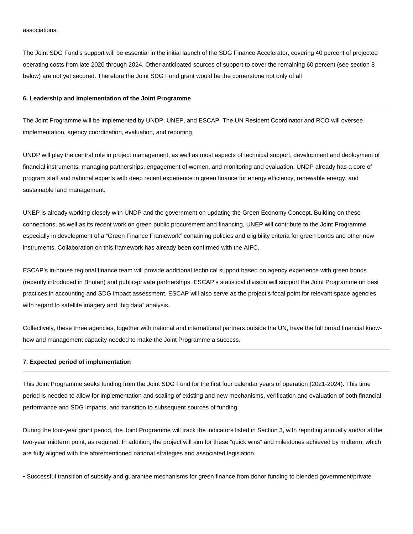The Joint SDG Fund's support will be essential in the initial launch of the SDG Finance Accelerator, covering 40 percent of projected operating costs from late 2020 through 2024. Other anticipated sources of support to cover the remaining 60 percent (see section 8 below) are not yet secured. Therefore the Joint SDG Fund grant would be the cornerstone not only of all

#### **6. Leadership and implementation of the Joint Programme**

The Joint Programme will be implemented by UNDP, UNEP, and ESCAP. The UN Resident Coordinator and RCO will oversee implementation, agency coordination, evaluation, and reporting.

UNDP will play the central role in project management, as well as most aspects of technical support, development and deployment of financial instruments, managing partnerships, engagement of women, and monitoring and evaluation. UNDP already has a core of program staff and national experts with deep recent experience in green finance for energy efficiency, renewable energy, and sustainable land management.

UNEP is already working closely with UNDP and the government on updating the Green Economy Concept. Building on these connections, as well as its recent work on green public procurement and financing, UNEP will contribute to the Joint Programme especially in development of a "Green Finance Framework" containing policies and eligibility criteria for green bonds and other new instruments. Collaboration on this framework has already been confirmed with the AIFC.

ESCAP's in-house regional finance team will provide additional technical support based on agency experience with green bonds (recently introduced in Bhutan) and public-private partnerships. ESCAP's statistical division will support the Joint Programme on best practices in accounting and SDG impact assessment. ESCAP will also serve as the project's focal point for relevant space agencies with regard to satellite imagery and "big data" analysis.

Collectively, these three agencies, together with national and international partners outside the UN, have the full broad financial knowhow and management capacity needed to make the Joint Programme a success.

#### **7. Expected period of implementation**

This Joint Programme seeks funding from the Joint SDG Fund for the first four calendar years of operation (2021-2024). This time period is needed to allow for implementation and scaling of existing and new mechanisms, verification and evaluation of both financial performance and SDG impacts, and transition to subsequent sources of funding.

During the four-year grant period, the Joint Programme will track the indicators listed in Section 3, with reporting annually and/or at the two-year midterm point, as required. In addition, the project will aim for these "quick wins" and milestones achieved by midterm, which are fully aligned with the aforementioned national strategies and associated legislation.

• Successful transition of subsidy and guarantee mechanisms for green finance from donor funding to blended government/private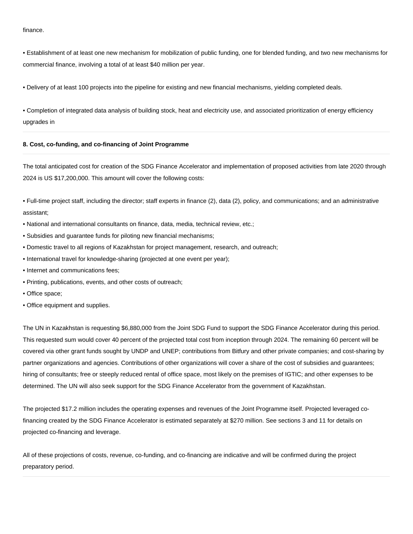finance.

• Establishment of at least one new mechanism for mobilization of public funding, one for blended funding, and two new mechanisms for commercial finance, involving a total of at least \$40 million per year.

• Delivery of at least 100 projects into the pipeline for existing and new financial mechanisms, yielding completed deals.

• Completion of integrated data analysis of building stock, heat and electricity use, and associated prioritization of energy efficiency upgrades in

#### **8. Cost, co-funding, and co-financing of Joint Programme**

The total anticipated cost for creation of the SDG Finance Accelerator and implementation of proposed activities from late 2020 through 2024 is US \$17,200,000. This amount will cover the following costs:

• Full-time project staff, including the director; staff experts in finance (2), data (2), policy, and communications; and an administrative assistant;

- National and international consultants on finance, data, media, technical review, etc.;
- Subsidies and guarantee funds for piloting new financial mechanisms;
- Domestic travel to all regions of Kazakhstan for project management, research, and outreach;
- International travel for knowledge-sharing (projected at one event per year);
- Internet and communications fees;
- Printing, publications, events, and other costs of outreach;
- Office space;
- Office equipment and supplies.

The UN in Kazakhstan is requesting \$6,880,000 from the Joint SDG Fund to support the SDG Finance Accelerator during this period. This requested sum would cover 40 percent of the projected total cost from inception through 2024. The remaining 60 percent will be covered via other grant funds sought by UNDP and UNEP; contributions from Bitfury and other private companies; and cost-sharing by partner organizations and agencies. Contributions of other organizations will cover a share of the cost of subsidies and guarantees; hiring of consultants; free or steeply reduced rental of office space, most likely on the premises of IGTIC; and other expenses to be determined. The UN will also seek support for the SDG Finance Accelerator from the government of Kazakhstan.

The projected \$17.2 million includes the operating expenses and revenues of the Joint Programme itself. Projected leveraged cofinancing created by the SDG Finance Accelerator is estimated separately at \$270 million. See sections 3 and 11 for details on projected co-financing and leverage.

All of these projections of costs, revenue, co-funding, and co-financing are indicative and will be confirmed during the project preparatory period.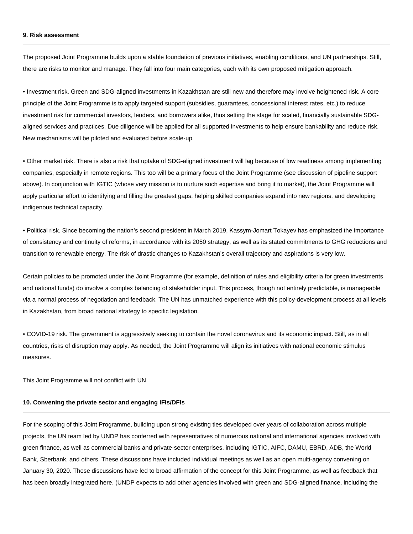#### **9. Risk assessment**

The proposed Joint Programme builds upon a stable foundation of previous initiatives, enabling conditions, and UN partnerships. Still, there are risks to monitor and manage. They fall into four main categories, each with its own proposed mitigation approach.

• Investment risk. Green and SDG-aligned investments in Kazakhstan are still new and therefore may involve heightened risk. A core principle of the Joint Programme is to apply targeted support (subsidies, guarantees, concessional interest rates, etc.) to reduce investment risk for commercial investors, lenders, and borrowers alike, thus setting the stage for scaled, financially sustainable SDGaligned services and practices. Due diligence will be applied for all supported investments to help ensure bankability and reduce risk. New mechanisms will be piloted and evaluated before scale-up.

• Other market risk. There is also a risk that uptake of SDG-aligned investment will lag because of low readiness among implementing companies, especially in remote regions. This too will be a primary focus of the Joint Programme (see discussion of pipeline support above). In conjunction with IGTIC (whose very mission is to nurture such expertise and bring it to market), the Joint Programme will apply particular effort to identifying and filling the greatest gaps, helping skilled companies expand into new regions, and developing indigenous technical capacity.

• Political risk. Since becoming the nation's second president in March 2019, Kassym-Jomart Tokayev has emphasized the importance of consistency and continuity of reforms, in accordance with its 2050 strategy, as well as its stated commitments to GHG reductions and transition to renewable energy. The risk of drastic changes to Kazakhstan's overall trajectory and aspirations is very low.

Certain policies to be promoted under the Joint Programme (for example, definition of rules and eligibility criteria for green investments and national funds) do involve a complex balancing of stakeholder input. This process, though not entirely predictable, is manageable via a normal process of negotiation and feedback. The UN has unmatched experience with this policy-development process at all levels in Kazakhstan, from broad national strategy to specific legislation.

• COVID-19 risk. The government is aggressively seeking to contain the novel coronavirus and its economic impact. Still, as in all countries, risks of disruption may apply. As needed, the Joint Programme will align its initiatives with national economic stimulus measures.

This Joint Programme will not conflict with UN

#### **10. Convening the private sector and engaging IFIs/DFIs**

For the scoping of this Joint Programme, building upon strong existing ties developed over years of collaboration across multiple projects, the UN team led by UNDP has conferred with representatives of numerous national and international agencies involved with green finance, as well as commercial banks and private-sector enterprises, including IGTIC, AIFC, DAMU, EBRD, ADB, the World Bank, Sberbank, and others. These discussions have included individual meetings as well as an open multi-agency convening on January 30, 2020. These discussions have led to broad affirmation of the concept for this Joint Programme, as well as feedback that has been broadly integrated here. (UNDP expects to add other agencies involved with green and SDG-aligned finance, including the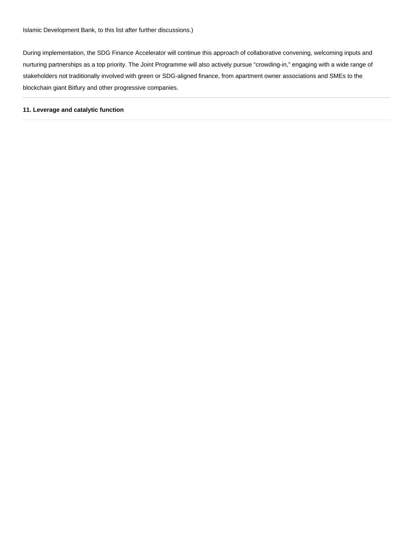During implementation, the SDG Finance Accelerator will continue this approach of collaborative convening, welcoming inputs and nurturing partnerships as a top priority. The Joint Programme will also actively pursue "crowding-in," engaging with a wide range of stakeholders not traditionally involved with green or SDG-aligned finance, from apartment owner associations and SMEs to the blockchain giant Bitfury and other progressive companies.

#### **11. Leverage and catalytic function**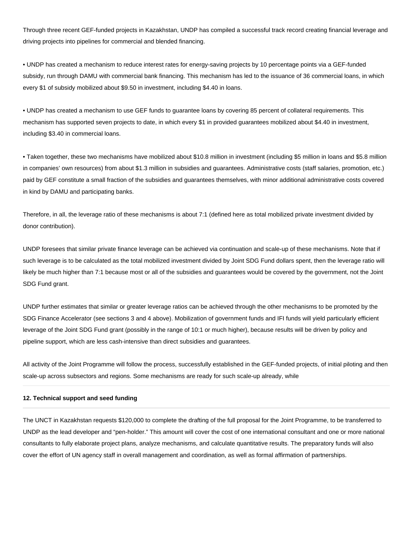Through three recent GEF-funded projects in Kazakhstan, UNDP has compiled a successful track record creating financial leverage and driving projects into pipelines for commercial and blended financing.

• UNDP has created a mechanism to reduce interest rates for energy-saving projects by 10 percentage points via a GEF-funded subsidy, run through DAMU with commercial bank financing. This mechanism has led to the issuance of 36 commercial loans, in which every \$1 of subsidy mobilized about \$9.50 in investment, including \$4.40 in loans.

• UNDP has created a mechanism to use GEF funds to guarantee loans by covering 85 percent of collateral requirements. This mechanism has supported seven projects to date, in which every \$1 in provided guarantees mobilized about \$4.40 in investment, including \$3.40 in commercial loans.

• Taken together, these two mechanisms have mobilized about \$10.8 million in investment (including \$5 million in loans and \$5.8 million in companies' own resources) from about \$1.3 million in subsidies and guarantees. Administrative costs (staff salaries, promotion, etc.) paid by GEF constitute a small fraction of the subsidies and guarantees themselves, with minor additional administrative costs covered in kind by DAMU and participating banks.

Therefore, in all, the leverage ratio of these mechanisms is about 7:1 (defined here as total mobilized private investment divided by donor contribution).

UNDP foresees that similar private finance leverage can be achieved via continuation and scale-up of these mechanisms. Note that if such leverage is to be calculated as the total mobilized investment divided by Joint SDG Fund dollars spent, then the leverage ratio will likely be much higher than 7:1 because most or all of the subsidies and guarantees would be covered by the government, not the Joint SDG Fund grant.

UNDP further estimates that similar or greater leverage ratios can be achieved through the other mechanisms to be promoted by the SDG Finance Accelerator (see sections 3 and 4 above). Mobilization of government funds and IFI funds will yield particularly efficient leverage of the Joint SDG Fund grant (possibly in the range of 10:1 or much higher), because results will be driven by policy and pipeline support, which are less cash-intensive than direct subsidies and guarantees.

All activity of the Joint Programme will follow the process, successfully established in the GEF-funded projects, of initial piloting and then scale-up across subsectors and regions. Some mechanisms are ready for such scale-up already, while

#### **12. Technical support and seed funding**

The UNCT in Kazakhstan requests \$120,000 to complete the drafting of the full proposal for the Joint Programme, to be transferred to UNDP as the lead developer and "pen-holder." This amount will cover the cost of one international consultant and one or more national consultants to fully elaborate project plans, analyze mechanisms, and calculate quantitative results. The preparatory funds will also cover the effort of UN agency staff in overall management and coordination, as well as formal affirmation of partnerships.